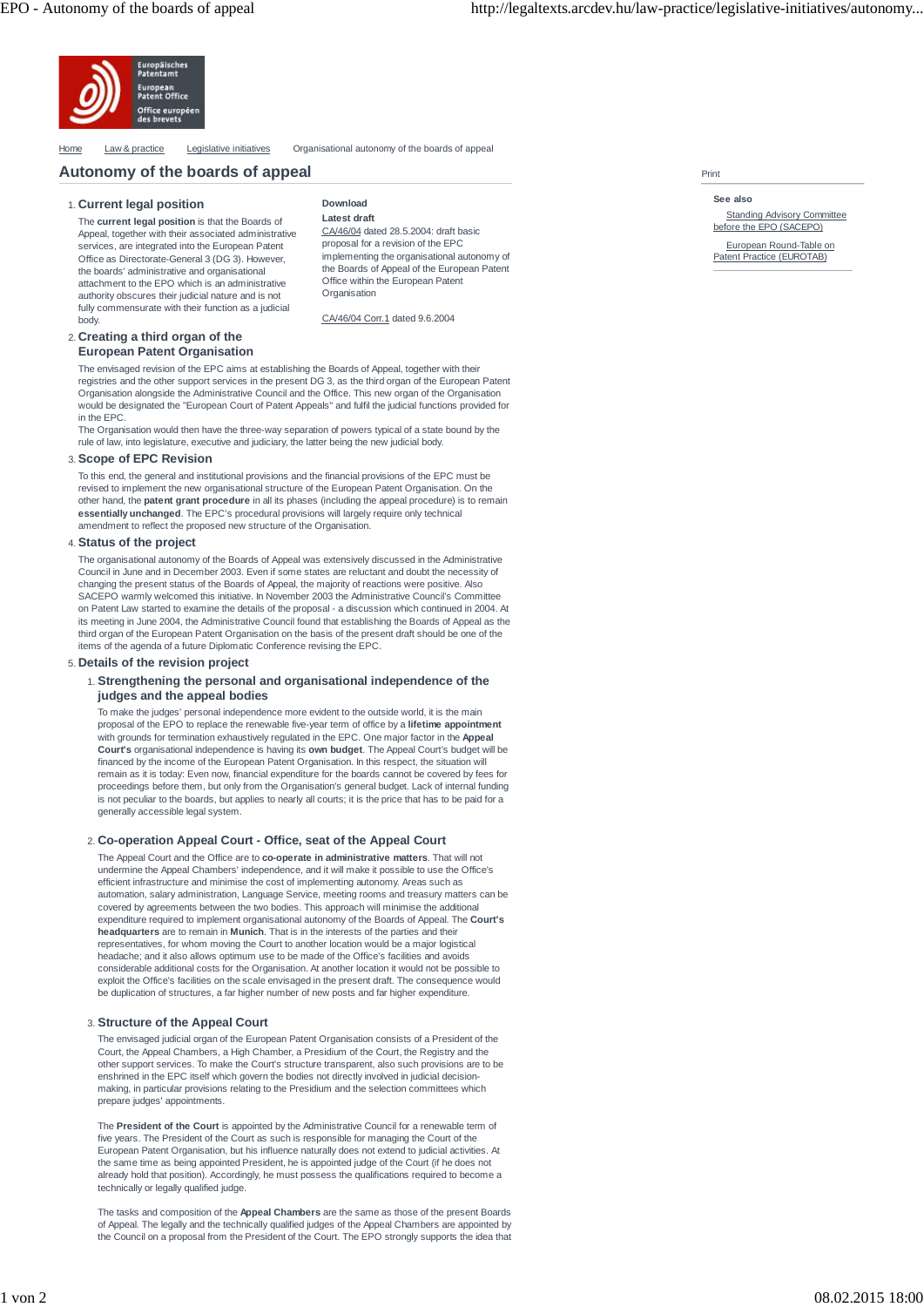

Home Law & practice Legislative initiatives Organisational autonomy of the boards of appea

# **Autonomy of the boards of appeal**

# **Current legal position** 1.

The **current legal position** is that the Boards of Appeal, together with their associated administrative services, are integrated into the European Patent Office as Directorate-General 3 (DG 3). However, the boards' administrative and organisational attachment to the EPO which is an administrative authority obscures their judicial nature and is not fully commensurate with their function as a judicial body.

| Download                                    |
|---------------------------------------------|
| Latest draft                                |
| CA/46/04 dated 28.5.2004; draft basic       |
| proposal for a revision of the EPC          |
| implementing the organisational autonomy of |
| the Boards of Appeal of the European Patent |
| Office within the European Patent           |

CA/46/04 Corr.1 dated 9.6.2004

**Organisation** 

#### Print

**See also**

**Standing Advisory Committee** before the EPO (SACEPO)

European Round-Table on Patent Practice (EUROTAB)

### **Creating a third organ of the** 2. **European Patent Organisation**

The envisaged revision of the EPC aims at establishing the Boards of Appeal, together with their registries and the other support services in the present DG 3, as the third organ of the European Patent Organisation alongside the Administrative Council and the Office. This new organ of the Organisation would be designated the "European Court of Patent Appeals" and fulfil the judicial functions provided for in the EPC

The Organisation would then have the three-way separation of powers typical of a state bound by the rule of law, into legislature, executive and judiciary, the latter being the new judicial body.

#### **Scope of EPC Revision** 3.

To this end, the general and institutional provisions and the financial provisions of the EPC must be revised to implement the new organisational structure of the European Patent Organisation. On the other hand, the **patent grant procedure** in all its phases (including the appeal procedure) is to remain **essentially unchanged**. The EPC's procedural provisions will largely require only technical amendment to reflect the proposed new structure of the Organisation.

#### **Status of the project** 4.

The organisational autonomy of the Boards of Appeal was extensively discussed in the Administrative Council in June and in December 2003. Even if some states are reluctant and doubt the necessity of changing the present status of the Boards of Appeal, the majority of reactions were positive. Also SACEPO warmly welcomed this initiative. In November 2003 the Administrative Council's Committee on Patent Law started to examine the details of the proposal - a discussion which continued in 2004. At its meeting in June 2004, the Administrative Council found that establishing the Boards of Appeal as the third organ of the European Patent Organisation on the basis of the present draft should be one of the items of the agenda of a future Diplomatic Conference revising the EPC.

#### **Details of the revision project** 5.

# **Strengthening the personal and organisational independence of the** 1. **judges and the appeal bodies**

To make the judges' personal independence more evident to the outside world, it is the main proposal of the EPO to replace the renewable five-year term of office by a **lifetime appointment** with grounds for termination exhaustively regulated in the EPC. One major factor in the **Appeal Court's** organisational independence is having its **own budget**. The Appeal Court's budget will be financed by the income of the European Patent Organisation. In this respect, the situation will remain as it is today: Even now, financial expenditure for the boards cannot be covered by fees for proceedings before them, but only from the Organisation's general budget. Lack of internal funding is not peculiar to the boards, but applies to nearly all courts; it is the price that has to be paid for a generally accessible legal system.

# **Co-operation Appeal Court - Office, seat of the Appeal Court** 2.

The Appeal Court and the Office are to **co-operate in administrative matters**. That will not undermine the Appeal Chambers' independence, and it will make it possible to use the Office's efficient infrastructure and minimise the cost of implementing autonomy. Areas such as automation, salary administration, Language Service, meeting rooms and treasury matters can be covered by agreements between the two bodies. This approach will minimise the additional expenditure required to implement organisational autonomy of the Boards of Appeal. The **Court's headquarters** are to remain in **Munich**. That is in the interests of the parties and their representatives, for whom moving the Court to another location would be a major logistical headache; and it also allows optimum use to be made of the Office's facilities and avoids considerable additional costs for the Organisation. At another location it would not be possible to exploit the Office's facilities on the scale envisaged in the present draft. The consequence would be duplication of structures, a far higher number of new posts and far higher expenditure.

# **Structure of the Appeal Court** 3.

The envisaged judicial organ of the European Patent Organisation consists of a President of the Court, the Appeal Chambers, a High Chamber, a Presidium of the Court, the Registry and the other support services. To make the Court's structure transparent, also such provisions are to be enshrined in the EPC itself which govern the bodies not directly involved in judicial decisionmaking, in particular provisions relating to the Presidium and the selection committees which prepare judges' appointments.

The **President of the Court** is appointed by the Administrative Council for a renewable term of five years. The President of the Court as such is responsible for managing the Court of the European Patent Organisation, but his influence naturally does not extend to judicial activities. At the same time as being appointed President, he is appointed judge of the Court (if he does not already hold that position). Accordingly, he must possess the qualifications required to become a technically or legally qualified judge.

The tasks and composition of the **Appeal Chambers** are the same as those of the present Boards of Appeal. The legally and the technically qualified judges of the Appeal Chambers are appointed by the Council on a proposal from the President of the Court. The EPO strongly supports the idea that